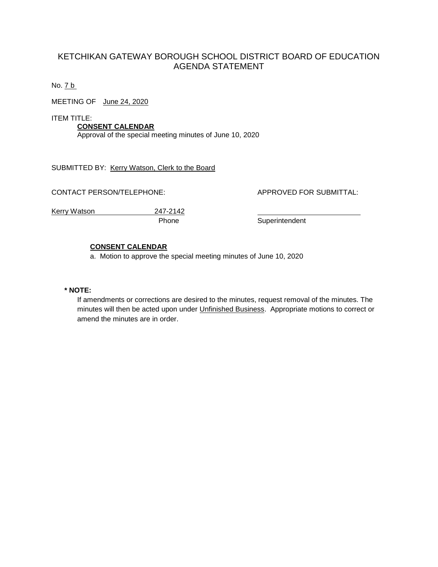# KETCHIKAN GATEWAY BOROUGH SCHOOL DISTRICT BOARD OF EDUCATION AGENDA STATEMENT

No. 7 b

MEETING OF June 24, 2020

ITEM TITLE:

**CONSENT CALENDAR** Approval of the special meeting minutes of June 10, 2020

SUBMITTED BY: Kerry Watson, Clerk to the Board

CONTACT PERSON/TELEPHONE: APPROVED FOR SUBMITTAL:

Kerry Watson 247-2142

Phone Superintendent

# **CONSENT CALENDAR**

a. Motion to approve the special meeting minutes of June 10, 2020

# **\* NOTE:**

If amendments or corrections are desired to the minutes, request removal of the minutes. The minutes will then be acted upon under Unfinished Business. Appropriate motions to correct or amend the minutes are in order.